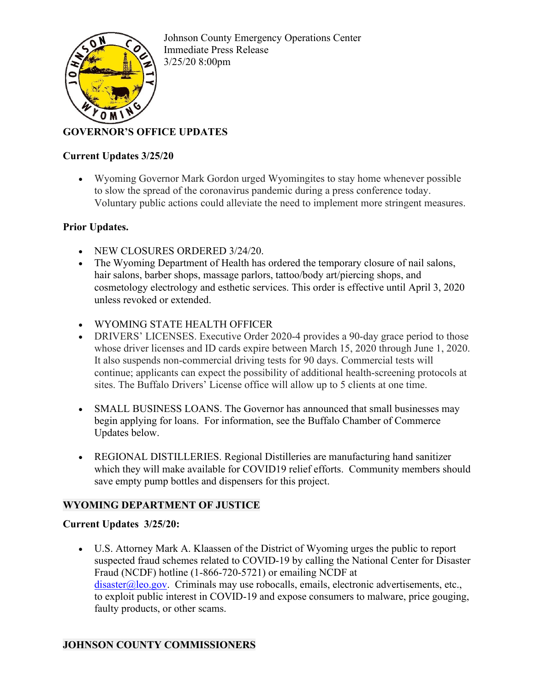

Johnson County Emergency Operations Center Immediate Press Release 3/25/20 8:00pm

# **GOVERNOR'S OFFICE UPDATES**

## **Current Updates 3/25/20**

• Wyoming Governor Mark Gordon urged Wyomingites to stay home whenever possible to slow the spread of the coronavirus pandemic during a press conference today. Voluntary public actions could alleviate the need to implement more stringent measures.

## **Prior Updates.**

- NEW CLOSURES ORDERED 3/24/20.
- The Wyoming Department of Health has ordered the temporary closure of nail salons, hair salons, barber shops, massage parlors, tattoo/body art/piercing shops, and cosmetology electrology and esthetic services. This order is effective until April 3, 2020 unless revoked or extended.
- WYOMING STATE HEALTH OFFICER
- DRIVERS' LICENSES. Executive Order 2020-4 provides a 90-day grace period to those whose driver licenses and ID cards expire between March 15, 2020 through June 1, 2020. It also suspends non-commercial driving tests for 90 days. Commercial tests will continue; applicants can expect the possibility of additional health-screening protocols at sites. The Buffalo Drivers' License office will allow up to 5 clients at one time.
- SMALL BUSINESS LOANS. The Governor has announced that small businesses may begin applying for loans. For information, see the Buffalo Chamber of Commerce Updates below.
- REGIONAL DISTILLERIES. Regional Distilleries are manufacturing hand sanitizer which they will make available for COVID19 relief efforts. Community members should save empty pump bottles and dispensers for this project.

## **WYOMING DEPARTMENT OF JUSTICE**

## **Current Updates 3/25/20:**

• U.S. Attorney Mark A. Klaassen of the District of Wyoming urges the public to report suspected fraud schemes related to COVID-19 by calling the National Center for Disaster Fraud (NCDF) hotline (1-866-720-5721) or emailing NCDF at  $disaster@leo.gov$ . Criminals may use robocalls, emails, electronic advertisements, etc., to exploit public interest in COVID-19 and expose consumers to malware, price gouging, faulty products, or other scams.

## **JOHNSON COUNTY COMMISSIONERS**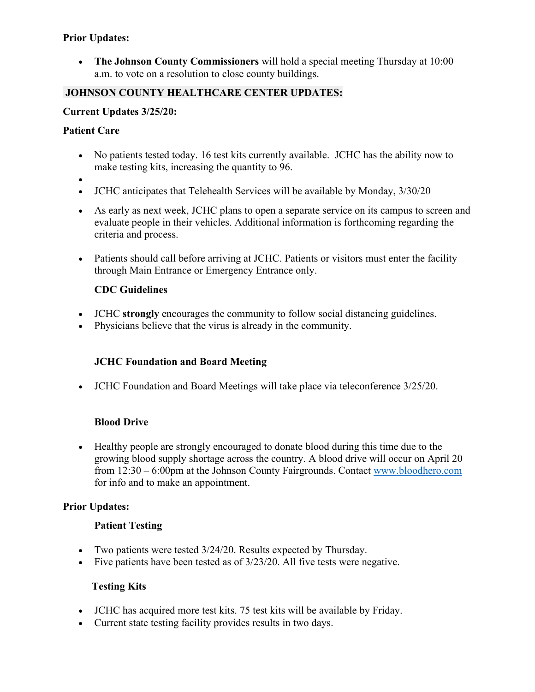## **Prior Updates:**

• **The Johnson County Commissioners** will hold a special meeting Thursday at 10:00 a.m. to vote on a resolution to close county buildings.

## **JOHNSON COUNTY HEALTHCARE CENTER UPDATES:**

## **Current Updates 3/25/20:**

#### **Patient Care**

- No patients tested today. 16 test kits currently available. JCHC has the ability now to make testing kits, increasing the quantity to 96.
- •
- JCHC anticipates that Telehealth Services will be available by Monday,  $3/30/20$
- As early as next week, JCHC plans to open a separate service on its campus to screen and evaluate people in their vehicles. Additional information is forthcoming regarding the criteria and process.
- Patients should call before arriving at JCHC. Patients or visitors must enter the facility through Main Entrance or Emergency Entrance only.

#### **CDC Guidelines**

- JCHC **strongly** encourages the community to follow social distancing guidelines.
- Physicians believe that the virus is already in the community.

## **JCHC Foundation and Board Meeting**

• JCHC Foundation and Board Meetings will take place via teleconference 3/25/20.

## **Blood Drive**

• Healthy people are strongly encouraged to donate blood during this time due to the growing blood supply shortage across the country. A blood drive will occur on April 20 from 12:30 – 6:00pm at the Johnson County Fairgrounds. Contact [www.bloodhero.com](http://www.bloodhero.com/) for info and to make an appointment.

## **Prior Updates:**

## **Patient Testing**

- Two patients were tested 3/24/20. Results expected by Thursday.
- Five patients have been tested as of  $3/23/20$ . All five tests were negative.

## **Testing Kits**

- JCHC has acquired more test kits. 75 test kits will be available by Friday.
- Current state testing facility provides results in two days.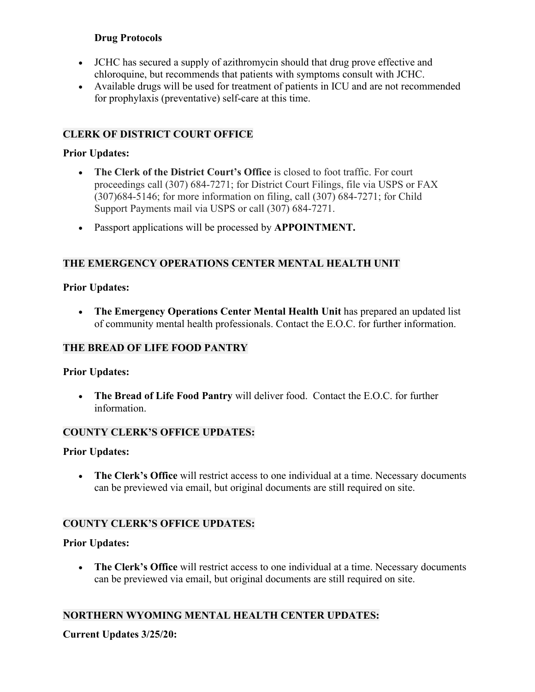## **Drug Protocols**

- JCHC has secured a supply of azithromycin should that drug prove effective and chloroquine, but recommends that patients with symptoms consult with JCHC.
- Available drugs will be used for treatment of patients in ICU and are not recommended for prophylaxis (preventative) self-care at this time.

## **CLERK OF DISTRICT COURT OFFICE**

#### **Prior Updates:**

- **The Clerk of the District Court's Office** is closed to foot traffic. For court proceedings call (307) 684-7271; for District Court Filings, file via USPS or FAX (307)684-5146; for more information on filing, call (307) 684-7271; for Child Support Payments mail via USPS or call (307) 684-7271.
- Passport applications will be processed by **APPOINTMENT.**

## **THE EMERGENCY OPERATIONS CENTER MENTAL HEALTH UNIT**

#### **Prior Updates:**

• **The Emergency Operations Center Mental Health Unit** has prepared an updated list of community mental health professionals. Contact the E.O.C. for further information.

## **THE BREAD OF LIFE FOOD PANTRY**

## **Prior Updates:**

• **The Bread of Life Food Pantry** will deliver food. Contact the E.O.C. for further information.

## **COUNTY CLERK'S OFFICE UPDATES:**

#### **Prior Updates:**

• **The Clerk's Office** will restrict access to one individual at a time. Necessary documents can be previewed via email, but original documents are still required on site.

## **COUNTY CLERK'S OFFICE UPDATES:**

## **Prior Updates:**

• **The Clerk's Office** will restrict access to one individual at a time. Necessary documents can be previewed via email, but original documents are still required on site.

## **NORTHERN WYOMING MENTAL HEALTH CENTER UPDATES:**

## **Current Updates 3/25/20:**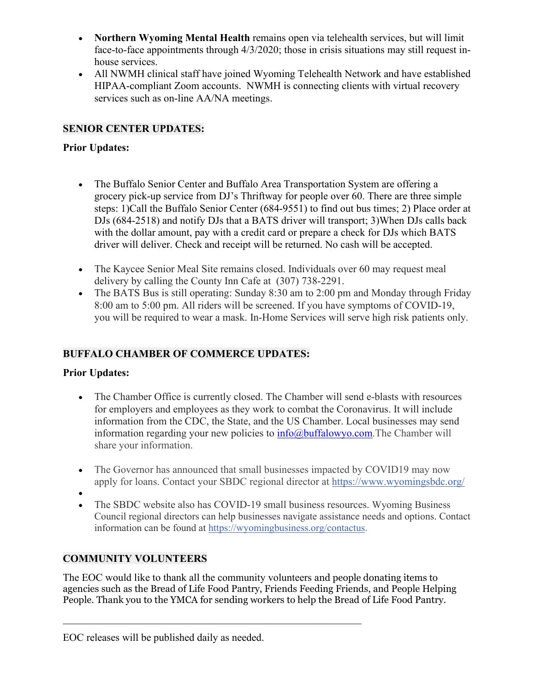- **Northern Wyoming Mental Health** remains open via telehealth services, but will limit face-to-face appointments through 4/3/2020; those in crisis situations may still request inhouse services.
- All NWMH clinical staff have joined Wyoming Telehealth Network and have established HIPAA-compliant Zoom accounts. NWMH is connecting clients with virtual recovery services such as on-line AA/NA meetings.

## **SENIOR CENTER UPDATES:**

## **Prior Updates:**

- The Buffalo Senior Center and Buffalo Area Transportation System are offering a grocery pick-up service from DJ's Thriftway for people over 60. There are three simple steps: 1)Call the Buffalo Senior Center (684-9551) to find out bus times; 2) Place order at DJs (684-2518) and notify DJs that a BATS driver will transport; 3)When DJs calls back with the dollar amount, pay with a credit card or prepare a check for DJs which BATS driver will deliver. Check and receipt will be returned. No cash will be accepted.
- The Kaycee Senior Meal Site remains closed. Individuals over 60 may request meal delivery by calling the County Inn Cafe at (307) 738-2291.
- The BATS Bus is still operating: Sunday 8:30 am to 2:00 pm and Monday through Friday 8:00 am to 5:00 pm. All riders will be screened. If you have symptoms of COVID-19, you will be required to wear a mask. In-Home Services will serve high risk patients only.

## **BUFFALO CHAMBER OF COMMERCE UPDATES:**

## **Prior Updates:**

- The Chamber Office is currently closed. The Chamber will send e-blasts with resources for employers and employees as they work to combat the Coronavirus. It will include information from the CDC, the State, and the US Chamber. Local businesses may send information regarding your new policies to  $info@$  buffalowyo.com. The Chamber will share your information.
- The Governor has announced that small businesses impacted by COVID19 may now apply for loans. Contact your SBDC regional director at [https://www.wyomingsbdc.org/](http://r20.rs6.net/tn.jsp?f=001sg8VlNRuZ6fFTPk-4MUC-1sXiWRV1M2TpehMUHOtI51CFjPRQg-uc_PlGLrza7npIHbdb0BujdNh9Dkyh2rsJ3cTUIVeAsKZ3lJLsxOCCZuGFze4NiZK6tveNB3UbG2BEX4HNKA2or-ya9sWddiYLRXVltN4pRHEGefxFXJTLneodXs6R4QEBfnbV4OJOcmlJkEgex8p1k_ighfQgzBptAEyFWu2agYeT8HcAFkgaJrH8lHF-4cfhbrtq6z5vpaYQbOfQ3yINVEORMQQw7za551Rn1aohMzyYMa3M7qn-KRhGbThJ2phd_tzcD5UkiiwmgNMRM5tHdpxUwMl3WaISldKjTVA8vvH7IomVYBS2JCq7upcyGv-VLTQ1oJbcwj_HYprQewkIw5ygV-PRhMIsiNcJxG2J4TmLd9kkEykkJwt6iYoMGchjO6alPvaa_C81_CC4ObrcSY=&c=9f0I-dS32-SaqRWckhrA3wLVx0htjtMrxERLxPkM-RrTI1oVWwzb5g==&ch=eBzk-eeE6AGLJJbb9nfqR-pjvq1WgGdFdsIBd__4mOS7rrlSnIIYfw==)
- •
- The SBDC website also has COVID-19 small business resources. Wyoming Business Council regional directors can help businesses navigate assistance needs and options. Contact information can be found at [https://wyomingbusiness.org/contactus.](http://r20.rs6.net/tn.jsp?f=001sg8VlNRuZ6fFTPk-4MUC-1sXiWRV1M2TpehMUHOtI51CFjPRQg-uc_PlGLrza7npUXj9QgenE8FHk-XWvdlt0v-1y8RN4rn97tj5lIY_k1DYVMa5gQnnYntQ9dN17wbb5kVJ7LisaVyPn2QFDL5bJzTdk21SFvjjHU0PpnlfiKEl_sYl48W8uJTEJu_3m-RzzFgvq8X381y2ODrVh0b56HGgGCbBS4qkfUG3G0VAbxP-Ax3s-891uAD4WfOQ2hJi-pSUUi-1uI0Zbakf_h8BjQIIAtHXFUpy5JO_XqCDspL_7M5O5L9XhqDgmX6J9xfJWDpbBY-WIU6aeVzJlNeX1526EmqvI9pKOuZEyJVBykK_zSqiMrNliBkYqeaxP7RkZd-SGTmF8nMF71678pezp4aiuf5LxMPKFzHsRe_aALQO5T-XcyZLxUR-L040GFynDaOLk5lFx-9w34eApsnyHw==&c=9f0I-dS32-SaqRWckhrA3wLVx0htjtMrxERLxPkM-RrTI1oVWwzb5g==&ch=eBzk-eeE6AGLJJbb9nfqR-pjvq1WgGdFdsIBd__4mOS7rrlSnIIYfw==)

## **COMMUNITY VOLUNTEERS**

The EOC would like to thank all the community volunteers and people donating items to agencies such as the Bread of Life Food Pantry, Friends Feeding Friends, and People Helping People. Thank you to the YMCA for sending workers to help the Bread of Life Food Pantry.

\_\_\_\_\_\_\_\_\_\_\_\_\_\_\_\_\_\_\_\_\_\_\_\_\_\_\_\_\_\_\_\_\_\_\_\_\_\_\_\_\_\_\_\_\_\_\_\_\_\_\_\_\_\_\_\_\_